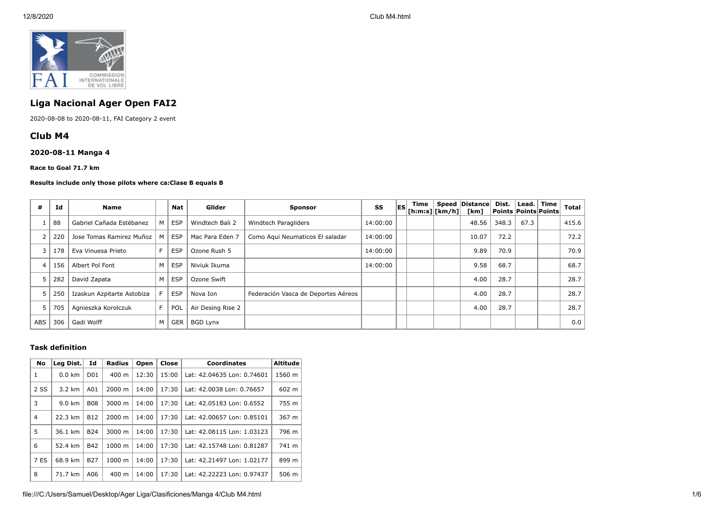

# **Liga Nacional Ager Open FAI2**

2020-08-08 to 2020-08-11, FAI Category 2 event

## **Club M4**

## **2020-08-11 Manga 4**

**Race to Goal 71.7 km**

#### **Results include only those pilots where ca:Clase B equals B**

| #          | Id  | <b>Name</b>                |   | Nat        | Glider            | <b>Sponsor</b>                      | SS       | lESI. | Time<br>$ $ [h:m:s] $ $ [km/h] $ $ | <b>Speed Distance</b><br>[km] | Dist. | ∣ Lead. ∣ | Time<br>Points   Points   Points | <b>Total</b> |
|------------|-----|----------------------------|---|------------|-------------------|-------------------------------------|----------|-------|------------------------------------|-------------------------------|-------|-----------|----------------------------------|--------------|
|            | 88  | Gabriel Cañada Estébanez   | м | <b>ESP</b> | Windtech Bali 2   | Windtech Paragliders                | 14:00:00 |       |                                    | 48.56                         | 348.3 | 67.3      |                                  | 415.6        |
|            | 220 | Jose Tomas Ramirez Muñoz   |   | <b>ESP</b> | Mac Para Eden 7   | Como Aqui Neumaticos El saladar     | 14:00:00 |       |                                    | 10.07                         | 72.2  |           |                                  | 72.2         |
|            | 178 | Eva Vinuesa Prieto         |   | <b>ESP</b> | Ozone Rush 5      |                                     | 14:00:00 |       |                                    | 9.89                          | 70.9  |           |                                  | 70.9         |
| 4          | 156 | Albert Pol Font            | м | <b>ESP</b> | Niviuk Ikuma      |                                     | 14:00:00 |       |                                    | 9.58                          | 68.7  |           |                                  | 68.7         |
|            | 282 | David Zapata               | M | <b>ESP</b> | Ozone Swift       |                                     |          |       |                                    | 4.00                          | 28.7  |           |                                  | 28.7         |
|            | 250 | Izaskun Azpitarte Astobiza |   | <b>ESP</b> | Nova Ion          | Federación Vasca de Deportes Aéreos |          |       |                                    | 4.00                          | 28.7  |           |                                  | 28.7         |
| 5          | 705 | Agnieszka Korolczuk        |   | <b>POL</b> | Air Desing Rise 2 |                                     |          |       |                                    | 4.00                          | 28.7  |           |                                  | 28.7         |
| <b>ABS</b> | 306 | Gadi Wolff                 | M | <b>GER</b> | <b>BGD Lynx</b>   |                                     |          |       |                                    |                               |       |           |                                  | 0.0          |

### **Task definition**

| <b>No</b>      | Leg Dist.        | Id               | <b>Radius</b>      | Open  | Close | <b>Coordinates</b>         | <b>Altitude</b> |
|----------------|------------------|------------------|--------------------|-------|-------|----------------------------|-----------------|
| 1              | $0.0 \text{ km}$ | D <sub>0</sub> 1 | $400 \text{ m}$    | 12:30 | 15:00 | Lat: 42.04635 Lon: 0.74601 | 1560 m          |
| 2 SS           | $3.2 \text{ km}$ | A01              | $2000 \; m$        | 14:00 | 17:30 | Lat: 42.0038 Lon: 0.76657  | 602 m           |
| 3              | $9.0 \text{ km}$ | <b>B08</b>       | $3000 \; \text{m}$ | 14:00 | 17:30 | Lat: 42.05183 Lon: 0.6552  | 755 m           |
| $\overline{4}$ | 22.3 km          | <b>B12</b>       | $2000 \; \text{m}$ | 14:00 | 17:30 | Lat: 42.00657 Lon: 0.85101 | 367 m           |
| 5              | 36.1 km          | <b>B24</b>       | 3000 m             | 14:00 | 17:30 | Lat: 42.08115 Lon: 1.03123 | 796 m           |
| 6              | 52.4 km          | <b>B42</b>       | $1000 \;{\rm m}$   | 14:00 | 17:30 | Lat: 42.15748 Lon: 0.81287 | 741 m           |
| 7 ES           | 68.9 km          | <b>B27</b>       | 1000 m             | 14:00 | 17:30 | Lat: 42.21497 Lon: 1.02177 | 899 m           |
| 8              | 71.7 km          | A06              | $400 \text{ m}$    | 14:00 | 17:30 | Lat: 42.22223 Lon: 0.97437 | 506 m           |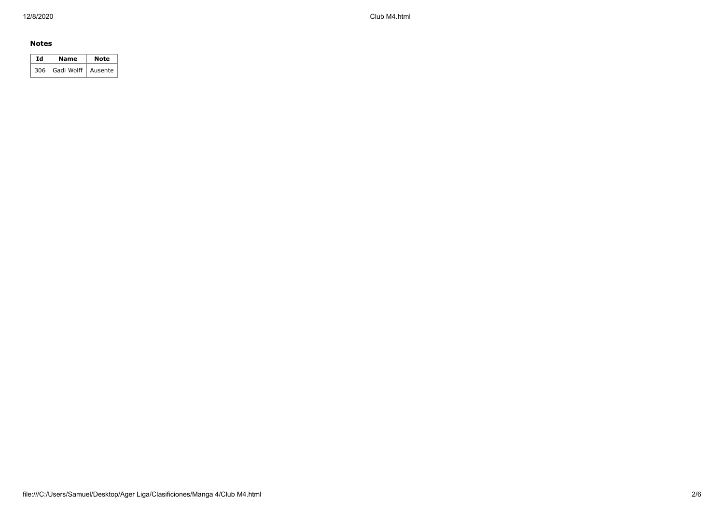12/8/2020 Club M4.html

### **Notes**

| Ιd | Name                       | Note |  |  |
|----|----------------------------|------|--|--|
|    | 306   Gadi Wolff   Ausente |      |  |  |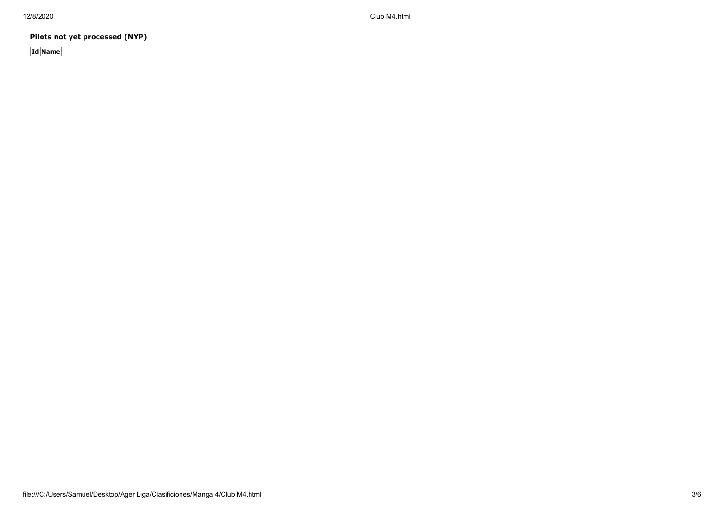12/8/2020 Club M4.html

**Pilots not yet processed (NYP)**

**Id Name**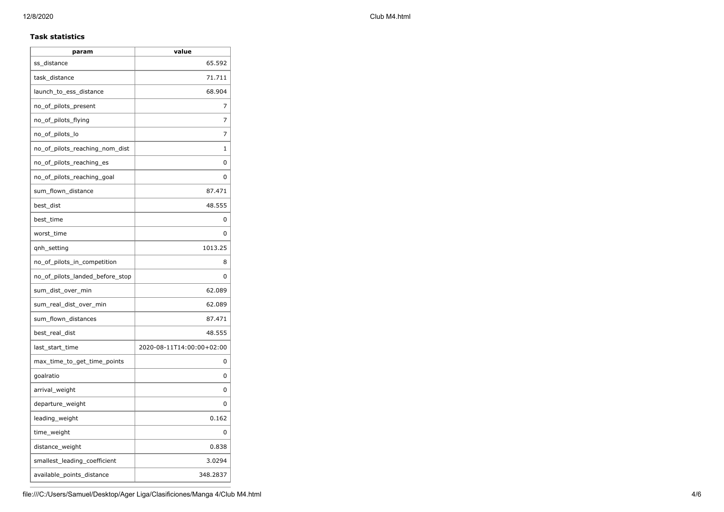12/8/2020 Club M4.html

#### **Task statistics**

| param                           | value                     |
|---------------------------------|---------------------------|
| ss distance                     | 65.592                    |
| task_distance                   | 71.711                    |
| launch_to_ess_distance          | 68.904                    |
| no_of_pilots_present            | 7                         |
| no_of_pilots_flying             | 7                         |
| no_of_pilots_lo                 | 7                         |
| no of pilots reaching nom dist  | 1                         |
| no_of_pilots_reaching_es        | 0                         |
| no_of_pilots_reaching_goal      | 0                         |
| sum_flown_distance              | 87.471                    |
| best_dist                       | 48.555                    |
| best_time                       | 0                         |
| worst_time                      | 0                         |
| qnh_setting                     | 1013.25                   |
| no_of_pilots_in_competition     | 8                         |
| no of pilots landed before stop | 0                         |
| sum_dist_over_min               | 62.089                    |
| sum_real_dist_over_min          | 62.089                    |
| sum_flown_distances             | 87.471                    |
| best_real_dist                  | 48.555                    |
| last_start_time                 | 2020-08-11T14:00:00+02:00 |
| max_time_to_get_time_points     | 0                         |
| goalratio                       | 0                         |
| arrival_weight                  | 0                         |
| departure_weight                | 0                         |
| leading_weight                  | 0.162                     |
| time_weight                     | 0                         |
| distance_weight                 | 0.838                     |
| smallest_leading_coefficient    | 3.0294                    |
| available_points_distance       | 348.2837                  |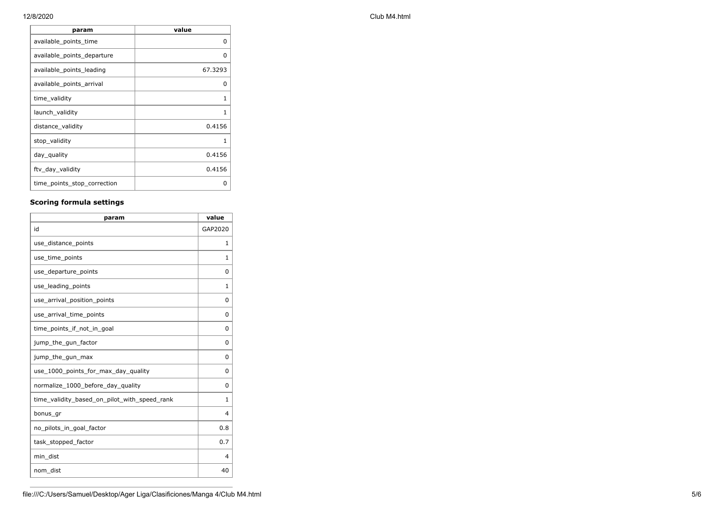| param                       | value    |
|-----------------------------|----------|
| available_points_time       | $\Omega$ |
| available_points_departure  | 0        |
| available_points_leading    | 67.3293  |
| available_points_arrival    | U        |
| time_validity               | 1        |
| launch_validity             | 1        |
| distance_validity           | 0.4156   |
| stop_validity               | 1        |
| day_quality                 | 0.4156   |
| ftv_day_validity            | 0.4156   |
| time_points_stop_correction | ი        |

## **Scoring formula settings**

| param                                        | value        |
|----------------------------------------------|--------------|
| id                                           | GAP2020      |
| use_distance_points                          | 1            |
| use_time_points                              | 1            |
| use_departure_points                         | $\Omega$     |
| use_leading_points                           | $\mathbf{1}$ |
| use_arrival_position_points                  | $\Omega$     |
| use_arrival_time_points                      | $\Omega$     |
| time points if not in goal                   | $\Omega$     |
| jump_the_gun_factor                          | $\Omega$     |
| jump_the_gun_max                             | $\Omega$     |
| use_1000_points_for_max_day_quality          | $\Omega$     |
| normalize_1000_before_day_quality            | $\Omega$     |
| time_validity_based_on_pilot_with_speed_rank | 1            |
| bonus_gr                                     | 4            |
| no pilots in goal factor                     | 0.8          |
| task_stopped_factor                          | 0.7          |
| min dist                                     | 4            |
| nom_dist                                     | 40           |

### 12/8/2020 Club M4.html